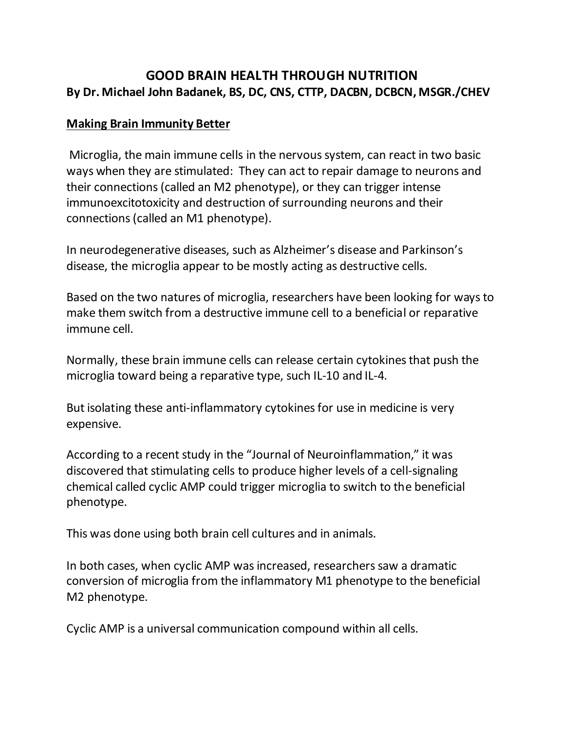## **GOOD BRAIN HEALTH THROUGH NUTRITION By Dr. Michael John Badanek, BS, DC, CNS, CTTP, DACBN, DCBCN, MSGR./CHEV**

## **Making Brain Immunity Better**

Microglia, the main immune cells in the nervous system, can react in two basic ways when they are stimulated: They can act to repair damage to neurons and their connections (called an M2 phenotype), or they can trigger intense immunoexcitotoxicity and destruction of surrounding neurons and their connections (called an M1 phenotype).

In neurodegenerative diseases, such as Alzheimer's disease and Parkinson's disease, the microglia appear to be mostly acting as destructive cells.

Based on the two natures of microglia, researchers have been looking for ways to make them switch from a destructive immune cell to a beneficial or reparative immune cell.

Normally, these brain immune cells can release certain cytokines that push the microglia toward being a reparative type, such IL-10 and IL-4.

But isolating these anti-inflammatory cytokines for use in medicine is very expensive.

According to a recent study in the "Journal of Neuroinflammation," it was discovered that stimulating cells to produce higher levels of a cell-signaling chemical called cyclic AMP could trigger microglia to switch to the beneficial phenotype.

This was done using both brain cell cultures and in animals.

In both cases, when cyclic AMP was increased, researchers saw a dramatic conversion of microglia from the inflammatory M1 phenotype to the beneficial M2 phenotype.

Cyclic AMP is a universal communication compound within all cells.